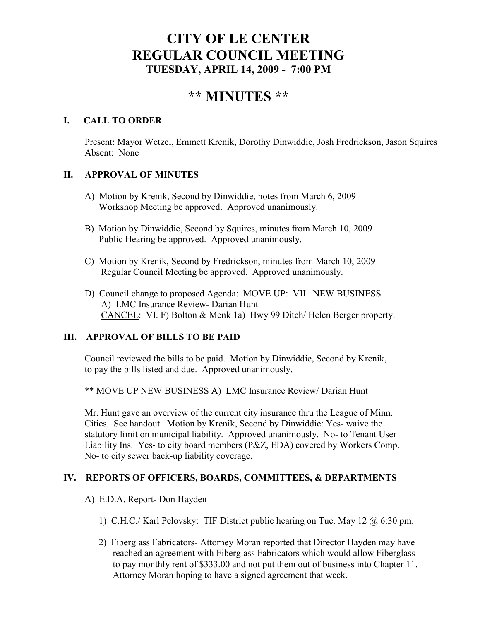## **CITY OF LE CENTER REGULAR COUNCIL MEETING TUESDAY, APRIL 14, 2009 - 7:00 PM**

# **\*\* MI UTES \*\***

### **I. CALL TO ORDER**

Present: Mayor Wetzel, Emmett Krenik, Dorothy Dinwiddie, Josh Fredrickson, Jason Squires Absent: None

#### **II. APPROVAL OF MINUTES**

- A) Motion by Krenik, Second by Dinwiddie, notes from March 6, 2009 Workshop Meeting be approved. Approved unanimously.
- B) Motion by Dinwiddie, Second by Squires, minutes from March 10, 2009 Public Hearing be approved. Approved unanimously.
- C) Motion by Krenik, Second by Fredrickson, minutes from March 10, 2009 Regular Council Meeting be approved. Approved unanimously.
- D) Council change to proposed Agenda: MOVE UP: VII. NEW BUSINESS A) LMC Insurance Review- Darian Hunt CANCEL: VI. F) Bolton & Menk 1a) Hwy 99 Ditch/ Helen Berger property.

## **III. APPROVAL OF BILLS TO BE PAID**

Council reviewed the bills to be paid. Motion by Dinwiddie, Second by Krenik, to pay the bills listed and due. Approved unanimously.

\*\* MOVE UP NEW BUSINESS A) LMC Insurance Review/ Darian Hunt

Mr. Hunt gave an overview of the current city insurance thru the League of Minn. Cities. See handout. Motion by Krenik, Second by Dinwiddie: Yes- waive the statutory limit on municipal liability. Approved unanimously. No- to Tenant User Liability Ins. Yes- to city board members (P&Z, EDA) covered by Workers Comp. No- to city sewer back-up liability coverage.

#### **IV. REPORTS OF OFFICERS, BOARDS, COMMITTEES, & DEPARTMENTS**

- A) E.D.A. Report- Don Hayden
	- 1) C.H.C./ Karl Pelovsky: TIF District public hearing on Tue. May 12 @ 6:30 pm.
	- 2) Fiberglass Fabricators- Attorney Moran reported that Director Hayden may have reached an agreement with Fiberglass Fabricators which would allow Fiberglass to pay monthly rent of \$333.00 and not put them out of business into Chapter 11. Attorney Moran hoping to have a signed agreement that week.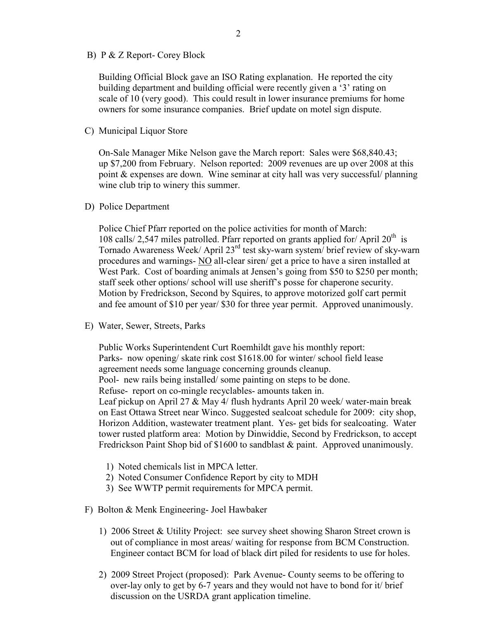B) P & Z Report- Corey Block

 Building Official Block gave an ISO Rating explanation. He reported the city building department and building official were recently given a '3' rating on scale of 10 (very good). This could result in lower insurance premiums for home owners for some insurance companies. Brief update on motel sign dispute.

C) Municipal Liquor Store

On-Sale Manager Mike Nelson gave the March report: Sales were \$68,840.43; up \$7,200 from February. Nelson reported: 2009 revenues are up over 2008 at this point & expenses are down. Wine seminar at city hall was very successful/ planning wine club trip to winery this summer.

D) Police Department

Police Chief Pfarr reported on the police activities for month of March: 108 calls/ 2,547 miles patrolled. Pfarr reported on grants applied for/ April  $20<sup>th</sup>$  is Tornado Awareness Week/ April 23<sup>rd</sup> test sky-warn system/ brief review of sky-warn procedures and warnings- NO all-clear siren/ get a price to have a siren installed at West Park. Cost of boarding animals at Jensen's going from \$50 to \$250 per month; staff seek other options/ school will use sheriff's posse for chaperone security. Motion by Fredrickson, Second by Squires, to approve motorized golf cart permit and fee amount of \$10 per year/ \$30 for three year permit. Approved unanimously.

E) Water, Sewer, Streets, Parks

 Public Works Superintendent Curt Roemhildt gave his monthly report: Parks- now opening/ skate rink cost \$1618.00 for winter/ school field lease agreement needs some language concerning grounds cleanup. Pool- new rails being installed/ some painting on steps to be done. Refuse- report on co-mingle recyclables- amounts taken in. Leaf pickup on April 27 & May 4/ flush hydrants April 20 week/ water-main break on East Ottawa Street near Winco. Suggested sealcoat schedule for 2009: city shop, Horizon Addition, wastewater treatment plant. Yes- get bids for sealcoating. Water tower rusted platform area: Motion by Dinwiddie, Second by Fredrickson, to accept Fredrickson Paint Shop bid of \$1600 to sandblast & paint. Approved unanimously.

- 1) Noted chemicals list in MPCA letter.
- 2) Noted Consumer Confidence Report by city to MDH
- 3) See WWTP permit requirements for MPCA permit.
- F) Bolton & Menk Engineering- Joel Hawbaker
	- 1) 2006 Street & Utility Project: see survey sheet showing Sharon Street crown is out of compliance in most areas/ waiting for response from BCM Construction. Engineer contact BCM for load of black dirt piled for residents to use for holes.
	- 2) 2009 Street Project (proposed): Park Avenue- County seems to be offering to over-lay only to get by 6-7 years and they would not have to bond for it/ brief discussion on the USRDA grant application timeline.